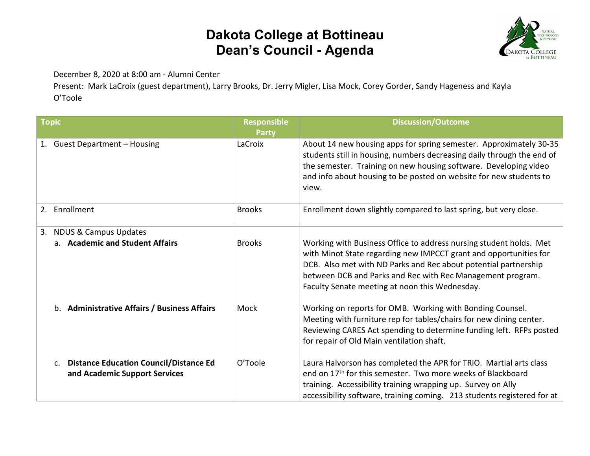## **Dakota College at Bottineau Dean's Council - Agenda**



December 8, 2020 at 8:00 am - Alumni Center

Present: Mark LaCroix (guest department), Larry Brooks, Dr. Jerry Migler, Lisa Mock, Corey Gorder, Sandy Hageness and Kayla O'Toole

| <b>Topic</b>                                                                                     | <b>Responsible</b><br>Party | <b>Discussion/Outcome</b>                                                                                                                                                                                                                                                                                                  |
|--------------------------------------------------------------------------------------------------|-----------------------------|----------------------------------------------------------------------------------------------------------------------------------------------------------------------------------------------------------------------------------------------------------------------------------------------------------------------------|
| 1. Guest Department - Housing                                                                    | LaCroix                     | About 14 new housing apps for spring semester. Approximately 30-35<br>students still in housing, numbers decreasing daily through the end of<br>the semester. Training on new housing software. Developing video<br>and info about housing to be posted on website for new students to<br>view.                            |
| 2. Enrollment                                                                                    | <b>Brooks</b>               | Enrollment down slightly compared to last spring, but very close.                                                                                                                                                                                                                                                          |
| <b>NDUS &amp; Campus Updates</b><br>3.                                                           |                             |                                                                                                                                                                                                                                                                                                                            |
| a. Academic and Student Affairs                                                                  | <b>Brooks</b>               | Working with Business Office to address nursing student holds. Met<br>with Minot State regarding new IMPCCT grant and opportunities for<br>DCB. Also met with ND Parks and Rec about potential partnership<br>between DCB and Parks and Rec with Rec Management program.<br>Faculty Senate meeting at noon this Wednesday. |
| b. Administrative Affairs / Business Affairs                                                     | Mock                        | Working on reports for OMB. Working with Bonding Counsel.<br>Meeting with furniture rep for tables/chairs for new dining center.<br>Reviewing CARES Act spending to determine funding left. RFPs posted<br>for repair of Old Main ventilation shaft.                                                                       |
| <b>Distance Education Council/Distance Ed</b><br>C <sub>1</sub><br>and Academic Support Services | O'Toole                     | Laura Halvorson has completed the APR for TRIO. Martial arts class<br>end on 17 <sup>th</sup> for this semester. Two more weeks of Blackboard<br>training. Accessibility training wrapping up. Survey on Ally<br>accessibility software, training coming. 213 students registered for at                                   |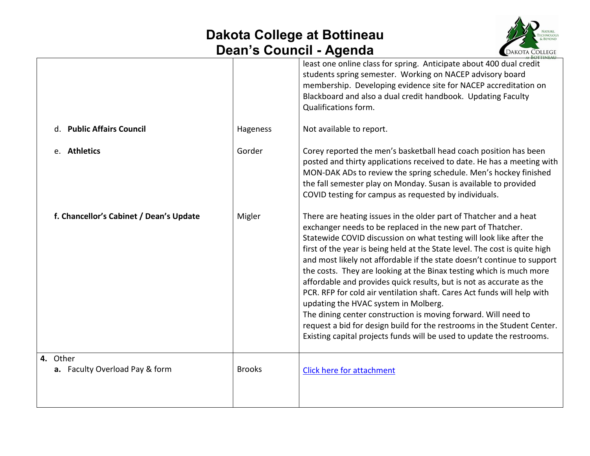## **Dakota College at Bottineau Dean's Council - Agenda**



| d. Public Affairs Council                  | Hageness      | least one online class for spring. Anticipate about 400 dual credit<br>students spring semester. Working on NACEP advisory board<br>membership. Developing evidence site for NACEP accreditation on<br>Blackboard and also a dual credit handbook. Updating Faculty<br>Qualifications form.<br>Not available to report.                                                                                                                                                                                                                                                                                                                                                                                                                                                                                                                                  |
|--------------------------------------------|---------------|----------------------------------------------------------------------------------------------------------------------------------------------------------------------------------------------------------------------------------------------------------------------------------------------------------------------------------------------------------------------------------------------------------------------------------------------------------------------------------------------------------------------------------------------------------------------------------------------------------------------------------------------------------------------------------------------------------------------------------------------------------------------------------------------------------------------------------------------------------|
| e. Athletics                               | Gorder        | Corey reported the men's basketball head coach position has been<br>posted and thirty applications received to date. He has a meeting with<br>MON-DAK ADs to review the spring schedule. Men's hockey finished<br>the fall semester play on Monday. Susan is available to provided<br>COVID testing for campus as requested by individuals.                                                                                                                                                                                                                                                                                                                                                                                                                                                                                                              |
| f. Chancellor's Cabinet / Dean's Update    | Migler        | There are heating issues in the older part of Thatcher and a heat<br>exchanger needs to be replaced in the new part of Thatcher.<br>Statewide COVID discussion on what testing will look like after the<br>first of the year is being held at the State level. The cost is quite high<br>and most likely not affordable if the state doesn't continue to support<br>the costs. They are looking at the Binax testing which is much more<br>affordable and provides quick results, but is not as accurate as the<br>PCR. RFP for cold air ventilation shaft. Cares Act funds will help with<br>updating the HVAC system in Molberg.<br>The dining center construction is moving forward. Will need to<br>request a bid for design build for the restrooms in the Student Center.<br>Existing capital projects funds will be used to update the restrooms. |
| 4. Other<br>a. Faculty Overload Pay & form | <b>Brooks</b> | <b>Click here for attachment</b>                                                                                                                                                                                                                                                                                                                                                                                                                                                                                                                                                                                                                                                                                                                                                                                                                         |